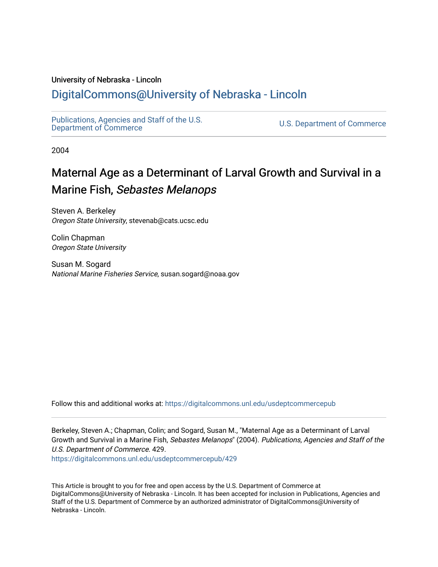# University of Nebraska - Lincoln

# [DigitalCommons@University of Nebraska - Lincoln](https://digitalcommons.unl.edu/)

[Publications, Agencies and Staff of the U.S.](https://digitalcommons.unl.edu/usdeptcommercepub)

U.S. [Department of Commerce](https://digitalcommons.unl.edu/usdeptcommercepub)

2004

# Maternal Age as a Determinant of Larval Growth and Survival in a Marine Fish, Sebastes Melanops

Steven A. Berkeley Oregon State University, stevenab@cats.ucsc.edu

Colin Chapman Oregon State University

Susan M. Sogard National Marine Fisheries Service, susan.sogard@noaa.gov

Follow this and additional works at: [https://digitalcommons.unl.edu/usdeptcommercepub](https://digitalcommons.unl.edu/usdeptcommercepub?utm_source=digitalcommons.unl.edu%2Fusdeptcommercepub%2F429&utm_medium=PDF&utm_campaign=PDFCoverPages)

Berkeley, Steven A.; Chapman, Colin; and Sogard, Susan M., "Maternal Age as a Determinant of Larval Growth and Survival in a Marine Fish, Sebastes Melanops" (2004). Publications, Agencies and Staff of the U.S. Department of Commerce. 429.

[https://digitalcommons.unl.edu/usdeptcommercepub/429](https://digitalcommons.unl.edu/usdeptcommercepub/429?utm_source=digitalcommons.unl.edu%2Fusdeptcommercepub%2F429&utm_medium=PDF&utm_campaign=PDFCoverPages) 

This Article is brought to you for free and open access by the U.S. Department of Commerce at DigitalCommons@University of Nebraska - Lincoln. It has been accepted for inclusion in Publications, Agencies and Staff of the U.S. Department of Commerce by an authorized administrator of DigitalCommons@University of Nebraska - Lincoln.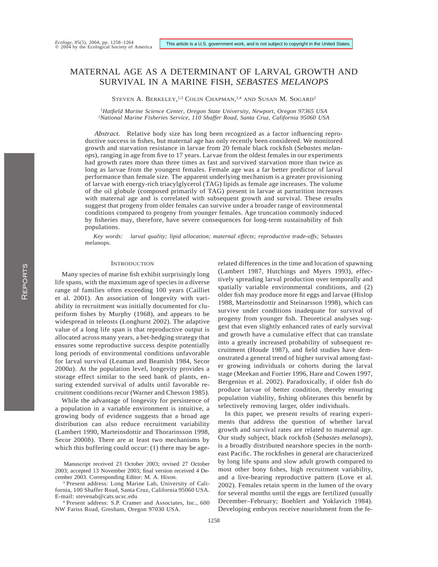# MATERNAL AGE AS A DETERMINANT OF LARVAL GROWTH AND SURVIVAL IN A MARINE FISH, *SEBASTES MELANOPS*

STEVEN A. BERKELEY,<sup>1,3</sup> COLIN CHAPMAN,<sup>1,4</sup> AND SUSAN M. SOGARD<sup>2</sup>

<sup>1</sup>*Hatfield Marine Science Center, Oregon State University, Newport, Oregon 97365 USA* <sup>2</sup>*National Marine Fisheries Service, 110 Shaffer Road, Santa Cruz, California 95060 USA*

*Abstract.* Relative body size has long been recognized as a factor influencing reproductive success in fishes, but maternal age has only recently been considered. We monitored growth and starvation resistance in larvae from 20 female black rockfish (*Sebastes melanops*), ranging in age from five to 17 years. Larvae from the oldest females in our experiments had growth rates more than three times as fast and survived starvation more than twice as long as larvae from the youngest females. Female age was a far better predictor of larval performance than female size. The apparent underlying mechanism is a greater provisioning of larvae with energy-rich triacylglycerol (TAG) lipids as female age increases. The volume of the oil globule (composed primarily of TAG) present in larvae at parturition increases with maternal age and is correlated with subsequent growth and survival. These results suggest that progeny from older females can survive under a broader range of environmental conditions compared to progeny from younger females. Age truncation commonly induced by fisheries may, therefore, have severe consequences for long-term sustainability of fish populations.

*Key words: larval quality; lipid allocation; maternal effects; reproductive trade-offs;* Sebastes melanops*.*

# **INTRODUCTION**

Many species of marine fish exhibit surprisingly long life spans, with the maximum age of species in a diverse range of families often exceeding 100 years (Cailliet et al. 2001). An association of longevity with variability in recruitment was initially documented for clupeiform fishes by Murphy (1968), and appears to be widespread in teleosts (Longhurst 2002). The adaptive value of a long life span is that reproductive output is allocated across many years, a bet-hedging strategy that ensures some reproductive success despite potentially long periods of environmental conditions unfavorable for larval survival (Leaman and Beamish 1984, Secor 2000*a*). At the population level, longevity provides a storage effect similar to the seed bank of plants, ensuring extended survival of adults until favorable recruitment conditions recur (Warner and Chesson 1985).

While the advantage of longevity for persistence of a population in a variable environment is intuitive, a growing body of evidence suggests that a broad age distribution can also reduce recruitment variability (Lambert 1990, Marteinsdottir and Thorarinsson 1998, Secor 2000*b*). There are at least two mechanisms by which this buffering could occur: (1) there may be age-

Manuscript received 23 October 2003; revised 27 October 2003; accepted 13 November 2003; final version received 4 December 2003. Corresponding Editor: M. A. Hixon.

<sup>3</sup> Present address: Long Marine Lab, University of California, 100 Shaffer Road, Santa Cruz, California 95060 USA. E-mail: stevenab@cats.ucsc.edu

<sup>4</sup> Present address: S.P. Cramer and Associates, Inc., 600 NW Fariss Road, Gresham, Oregon 97030 USA.

related differences in the time and location of spawning (Lambert 1987, Hutchings and Myers 1993), effectively spreading larval production over temporally and spatially variable environmental conditions, and (2) older fish may produce more fit eggs and larvae (Hislop 1988, Marteinsdottir and Steinarsson 1998), which can survive under conditions inadequate for survival of progeny from younger fish. Theoretical analyses suggest that even slightly enhanced rates of early survival and growth have a cumulative effect that can translate into a greatly increased probability of subsequent recruitment (Houde 1987), and field studies have demonstrated a general trend of higher survival among faster growing individuals or cohorts during the larval stage (Meekan and Fortier 1996, Hare and Cowen 1997, Bergenius et al. 2002). Paradoxically, if older fish do produce larvae of better condition, thereby ensuring population viability, fishing obliterates this benefit by selectively removing larger, older individuals.

In this paper, we present results of rearing experiments that address the question of whether larval growth and survival rates are related to maternal age. Our study subject, black rockfish (*Sebastes melanops*), is a broadly distributed nearshore species in the northeast Pacific. The rockfishes in general are characterized by long life spans and slow adult growth compared to most other bony fishes, high recruitment variability, and a live-bearing reproductive pattern (Love et al. 2002). Females retain sperm in the lumen of the ovary for several months until the eggs are fertilized (usually December–February; Boehlert and Yoklavich 1984). Developing embryos receive nourishment from the fe-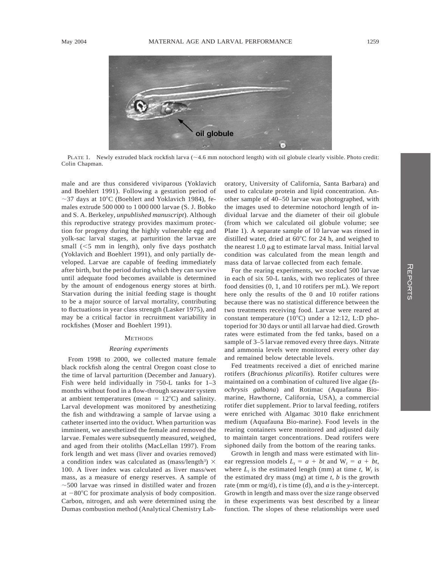

PLATE 1. Newly extruded black rockfish larva ( $\sim$ 4.6 mm notochord length) with oil globule clearly visible. Photo credit: Colin Chapman.

male and are thus considered viviparous (Yoklavich and Boehlert 1991). Following a gestation period of  $\sim$ 37 days at 10°C (Boehlert and Yoklavich 1984), females extrude 500 000 to 1 000 000 larvae (S. J. Bobko and S. A. Berkeley, *unpublished manuscript*). Although this reproductive strategy provides maximum protection for progeny during the highly vulnerable egg and yolk-sac larval stages, at parturition the larvae are small  $(<5$  mm in length), only five days posthatch (Yoklavich and Boehlert 1991), and only partially developed. Larvae are capable of feeding immediately after birth, but the period during which they can survive until adequate food becomes available is determined by the amount of endogenous energy stores at birth. Starvation during the initial feeding stage is thought to be a major source of larval mortality, contributing to fluctuations in year class strength (Lasker 1975), and may be a critical factor in recruitment variability in rockfishes (Moser and Boehlert 1991).

# **METHODS**

#### *Rearing experiments*

From 1998 to 2000, we collected mature female black rockfish along the central Oregon coast close to the time of larval parturition (December and January). Fish were held individually in 750-L tanks for 1–3 months without food in a flow-through seawater system at ambient temperatures (mean =  $12^{\circ}$ C) and salinity. Larval development was monitored by anesthetizing the fish and withdrawing a sample of larvae using a catheter inserted into the oviduct. When parturition was imminent, we anesthetized the female and removed the larvae. Females were subsequently measured, weighed, and aged from their otoliths (MacLellan 1997). From fork length and wet mass (liver and ovaries removed) a condition index was calculated as (mass/length<sup>3</sup>)  $\times$ 100. A liver index was calculated as liver mass/wet mass, as a measure of energy reserves. A sample of  $\sim$  500 larvae was rinsed in distilled water and frozen at  $-80^{\circ}$ C for proximate analysis of body composition. Carbon, nitrogen, and ash were determined using the Dumas combustion method (Analytical Chemistry Laboratory, University of California, Santa Barbara) and used to calculate protein and lipid concentration. Another sample of 40–50 larvae was photographed, with the images used to determine notochord length of individual larvae and the diameter of their oil globule (from which we calculated oil globule volume; see Plate 1). A separate sample of 10 larvae was rinsed in distilled water, dried at  $60^{\circ}$ C for 24 h, and weighed to the nearest  $1.0 \mu$ g to estimate larval mass. Initial larval condition was calculated from the mean length and mass data of larvae collected from each female.

For the rearing experiments, we stocked 500 larvae in each of six 50-L tanks, with two replicates of three food densities (0, 1, and 10 rotifers per mL). We report here only the results of the 0 and 10 rotifer rations because there was no statistical difference between the two treatments receiving food. Larvae were reared at constant temperature ( $10^{\circ}$ C) under a 12:12, L:D photoperiod for 30 days or until all larvae had died. Growth rates were estimated from the fed tanks, based on a sample of 3–5 larvae removed every three days. Nitrate and ammonia levels were monitored every other day and remained below detectable levels.

Fed treatments received a diet of enriched marine rotifers (*Brachionus plicatilis*). Rotifer cultures were maintained on a combination of cultured live algae (*Isochrysis galbana*) and Rotimac (Aquafauna Biomarine, Hawthorne, California, USA), a commercial rotifer diet supplement. Prior to larval feeding, rotifers were enriched with Algamac 3010 flake enrichment medium (Aquafauna Bio-marine). Food levels in the rearing containers were monitored and adjusted daily to maintain target concentrations. Dead rotifers were siphoned daily from the bottom of the rearing tanks.

Growth in length and mass were estimated with linear regression models  $L_t = a + bt$  and  $W_t = a + bt$ , where  $L_t$  is the estimated length (mm) at time  $t$ ,  $W_t$  is the estimated dry mass (mg) at time *t*, *b* is the growth rate (mm or mg/d), *t* is time (d), and *a* is the *y*-intercept. Growth in length and mass over the size range observed in these experiments was best described by a linear function. The slopes of these relationships were used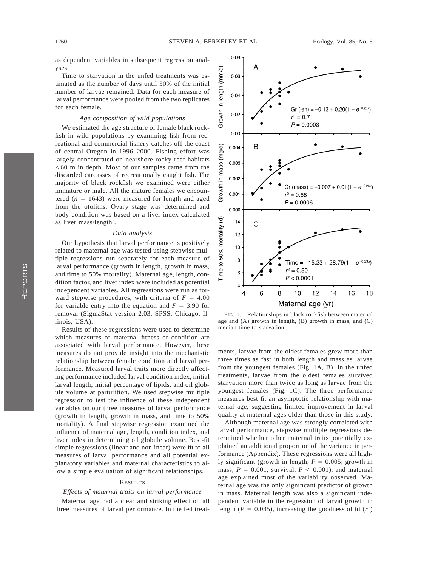as dependent variables in subsequent regression analyses.

Time to starvation in the unfed treatments was estimated as the number of days until 50% of the initial number of larvae remained. Data for each measure of larval performance were pooled from the two replicates for each female.

## *Age composition of wild populations*

We estimated the age structure of female black rockfish in wild populations by examining fish from recreational and commercial fishery catches off the coast of central Oregon in 1996–2000. Fishing effort was largely concentrated on nearshore rocky reef habitats  $<$  60 m in depth. Most of our samples came from the discarded carcasses of recreationally caught fish. The majority of black rockfish we examined were either immature or male. All the mature females we encountered  $(n = 1643)$  were measured for length and aged from the otoliths. Ovary stage was determined and body condition was based on a liver index calculated as liver mass/length<sup>3</sup>.

# *Data analysis*

Our hypothesis that larval performance is positively related to maternal age was tested using stepwise multiple regressions run separately for each measure of larval performance (growth in length, growth in mass, and time to 50% mortality). Maternal age, length, condition factor, and liver index were included as potential independent variables. All regressions were run as forward stepwise procedures, with criteria of  $F = 4.00$ for variable entry into the equation and  $F = 3.90$  for removal (SigmaStat version 2.03, SPSS, Chicago, Illinois, USA).

Results of these regressions were used to determine which measures of maternal fitness or condition are associated with larval performance. However, these measures do not provide insight into the mechanistic relationship between female condition and larval performance. Measured larval traits more directly affecting performance included larval condition index, initial larval length, initial percentage of lipids, and oil globule volume at parturition. We used stepwise multiple regression to test the influence of these independent variables on our three measures of larval performance (growth in length, growth in mass, and time to 50% mortality). A final stepwise regression examined the influence of maternal age, length, condition index, and liver index in determining oil globule volume. Best-fit simple regressions (linear and nonlinear) were fit to all measures of larval performance and all potential explanatory variables and maternal characteristics to allow a simple evaluation of significant relationships.

#### **RESULTS**

## *Effects of maternal traits on larval performance*

Maternal age had a clear and striking effect on all three measures of larval performance. In the fed treat-



FIG. 1. Relationships in black rockfish between maternal age and (A) growth in length, (B) growth in mass, and (C) median time to starvation.

ments, larvae from the oldest females grew more than three times as fast in both length and mass as larvae from the youngest females (Fig. 1A, B). In the unfed treatments, larvae from the oldest females survived starvation more than twice as long as larvae from the youngest females (Fig. 1C). The three performance measures best fit an asymptotic relationship with maternal age, suggesting limited improvement in larval quality at maternal ages older than those in this study.

Although maternal age was strongly correlated with larval performance, stepwise multiple regressions determined whether other maternal traits potentially explained an additional proportion of the variance in performance (Appendix). These regressions were all highly significant (growth in length,  $P = 0.005$ ; growth in mass,  $P = 0.001$ ; survival,  $P < 0.001$ ), and maternal age explained most of the variability observed. Maternal age was the only significant predictor of growth in mass. Maternal length was also a significant independent variable in the regression of larval growth in length ( $P = 0.035$ ), increasing the goodness of fit ( $r<sup>2</sup>$ )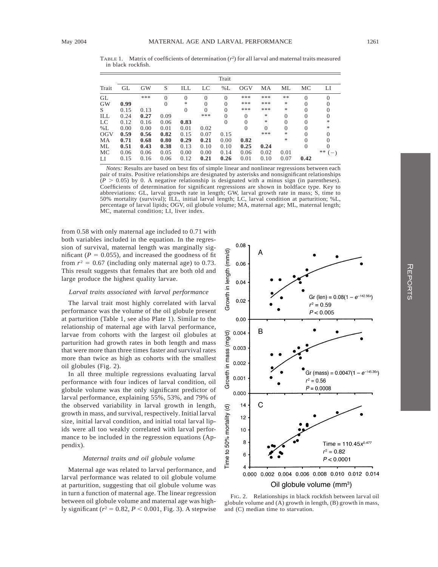TABLE 1. Matrix of coefficients of determination  $(r^2)$  for all larval and maternal traits measured in black rockfish.

|            | Trait |           |          |          |          |          |          |          |          |          |          |
|------------|-------|-----------|----------|----------|----------|----------|----------|----------|----------|----------|----------|
| Trait      | GL    | <b>GW</b> | S        | ILL      | LC       | %L       | OGV      | MA       | ML       | МC       | LI       |
| GL         |       | ***       | $\Omega$ | $\Omega$ | $\Omega$ |          | ***      | ***      | **       | $\theta$ |          |
| GW         | 0.99  |           | $\theta$ | *        |          |          | ***      | ***      | $\ast$   | 0        |          |
| S.         | 0.15  | 0.13      |          | $\Omega$ |          |          | ***      | ***      | *        | $\Omega$ |          |
| ILL        | 0.24  | 0.27      | 0.09     |          | ***      | $\Omega$ | $\Omega$ | *        | $\Omega$ | $\theta$ |          |
| LC         | 0.12  | 0.16      | 0.06     | 0.83     |          | $\Omega$ | $\Omega$ | *        | $\Omega$ | $\Omega$ | *        |
| %L         | 0.00  | 0.00      | 0.01     | 0.01     | 0.02     |          |          | $\Omega$ | $\Omega$ | $\theta$ | *        |
| <b>OGV</b> | 0.59  | 0.56      | 0.82     | 0.15     | 0.07     | 0.15     |          | ***      | *        | $\theta$ |          |
| MA         | 0.71  | 0.68      | 0.80     | 0.29     | 0.21     | 0.00     | 0.82     |          | *        | 0        |          |
| ML         | 0.51  | 0.43      | 0.38     | 0.13     | 0.10     | 0.10     | 0.25     | 0.24     |          | $\Omega$ |          |
| МC         | 0.06  | 0.06      | 0.05     | 0.00     | 0.00     | 0.14     | 0.06     | 0.02     | 0.01     |          | ** $(-)$ |
| LI         | 0.15  | 0.16      | 0.06     | 0.12     | 0.21     | 0.26     | 0.01     | 0.10     | 0.07     | 0.42     |          |

*Notes:* Results are based on best fits of simple linear and nonlinear regressions between each pair of traits. Positive relationships are designated by asterisks and nonsignificant relationships  $(P > 0.05)$  by 0. A negative relationship is designated with a minus sign (in parentheses). Coefficients of determination for significant regressions are shown in boldface type. Key to abbreviations: GL, larval growth rate in length; GW, larval growth rate in mass; S, time to 50% mortality (survival); ILL, initial larval length; LC, larval condition at parturition; %L, percentage of larval lipids; OGV, oil globule volume; MA, maternal age; ML, maternal length; MC, maternal condition; LI, liver index.

from 0.58 with only maternal age included to 0.71 with both variables included in the equation. In the regression of survival, maternal length was marginally significant ( $P = 0.055$ ), and increased the goodness of fit from  $r^2 = 0.67$  (including only maternal age) to 0.73. This result suggests that females that are both old and large produce the highest quality larvae.

#### *Larval traits associated with larval performance*

The larval trait most highly correlated with larval performance was the volume of the oil globule present at parturition (Table 1, see also Plate 1). Similar to the relationship of maternal age with larval performance, larvae from cohorts with the largest oil globules at parturition had growth rates in both length and mass that were more than three times faster and survival rates more than twice as high as cohorts with the smallest oil globules (Fig. 2).

In all three multiple regressions evaluating larval performance with four indices of larval condition, oil globule volume was the only significant predictor of larval performance, explaining 55%, 53%, and 79% of the observed variability in larval growth in length, growth in mass, and survival, respectively. Initial larval size, initial larval condition, and initial total larval lipids were all too weakly correlated with larval performance to be included in the regression equations (Appendix).

# *Maternal traits and oil globule volume*

Maternal age was related to larval performance, and larval performance was related to oil globule volume at parturition, suggesting that oil globule volume was in turn a function of maternal age. The linear regression between oil globule volume and maternal age was highly significant ( $r^2 = 0.82$ ,  $P < 0.001$ , Fig. 3). A stepwise



FIG. 2. Relationships in black rockfish between larval oil globule volume and  $(A)$  growth in length,  $(B)$  growth in mass, and (C) median time to starvation.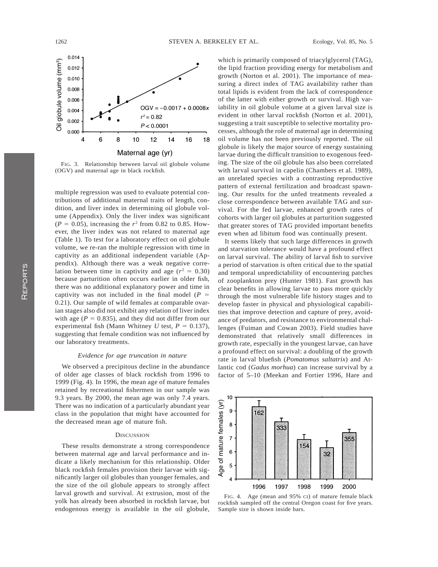

FIG. 3. Relationship between larval oil globule volume (OGV) and maternal age in black rockfish.

multiple regression was used to evaluate potential contributions of additional maternal traits of length, condition, and liver index in determining oil globule volume (Appendix). Only the liver index was significant  $(P = 0.05)$ , increasing the  $r^2$  from 0.82 to 0.85. However, the liver index was not related to maternal age (Table 1). To test for a laboratory effect on oil globule volume, we re-ran the multiple regression with time in captivity as an additional independent variable (Appendix). Although there was a weak negative correlation between time in captivity and age  $(r^2 = 0.30)$ because parturition often occurs earlier in older fish, there was no additional explanatory power and time in captivity was not included in the final model  $(P =$ 0.21). Our sample of wild females at comparable ovarian stages also did not exhibit any relation of liver index with age ( $P = 0.835$ ), and they did not differ from our experimental fish (Mann Whitney  $U$  test,  $P = 0.137$ ), suggesting that female condition was not influenced by our laboratory treatments.

#### *Evidence for age truncation in nature*

We observed a precipitous decline in the abundance of older age classes of black rockfish from 1996 to 1999 (Fig. 4). In 1996, the mean age of mature females retained by recreational fishermen in our sample was 9.3 years. By 2000, the mean age was only 7.4 years. There was no indication of a particularly abundant year class in the population that might have accounted for the decreased mean age of mature fish.

#### **DISCUSSION**

These results demonstrate a strong correspondence between maternal age and larval performance and indicate a likely mechanism for this relationship. Older black rockfish females provision their larvae with significantly larger oil globules than younger females, and the size of the oil globule appears to strongly affect larval growth and survival. At extrusion, most of the yolk has already been absorbed in rockfish larvae, but endogenous energy is available in the oil globule,

which is primarily composed of triacylglycerol (TAG), the lipid fraction providing energy for metabolism and growth (Norton et al. 2001). The importance of measuring a direct index of TAG availability rather than total lipids is evident from the lack of correspondence of the latter with either growth or survival. High variability in oil globule volume at a given larval size is evident in other larval rockfish (Norton et al. 2001), suggesting a trait susceptible to selective mortality processes, although the role of maternal age in determining oil volume has not been previously reported. The oil globule is likely the major source of energy sustaining larvae during the difficult transition to exogenous feeding. The size of the oil globule has also been correlated with larval survival in capelin (Chambers et al. 1989), an unrelated species with a contrasting reproductive pattern of external fertilization and broadcast spawning. Our results for the unfed treatments revealed a close correspondence between available TAG and survival. For the fed larvae, enhanced growth rates of cohorts with larger oil globules at parturition suggested that greater stores of TAG provided important benefits even when ad libitum food was continually present.

It seems likely that such large differences in growth and starvation tolerance would have a profound effect on larval survival. The ability of larval fish to survive a period of starvation is often critical due to the spatial and temporal unpredictability of encountering patches of zooplankton prey (Hunter 1981). Fast growth has clear benefits in allowing larvae to pass more quickly through the most vulnerable life history stages and to develop faster in physical and physiological capabilities that improve detection and capture of prey, avoidance of predators, and resistance to environmental challenges (Fuiman and Cowan 2003). Field studies have demonstrated that relatively small differences in growth rate, especially in the youngest larvae, can have a profound effect on survival: a doubling of the growth rate in larval bluefish (*Pomatomus saltatrix*) and Atlantic cod (*Gadus morhua*) can increase survival by a factor of 5–10 (Meekan and Fortier 1996, Hare and



FIG. 4. Age (mean and 95% CI) of mature female black rockfish sampled off the central Oregon coast for five years. Sample size is shown inside bars.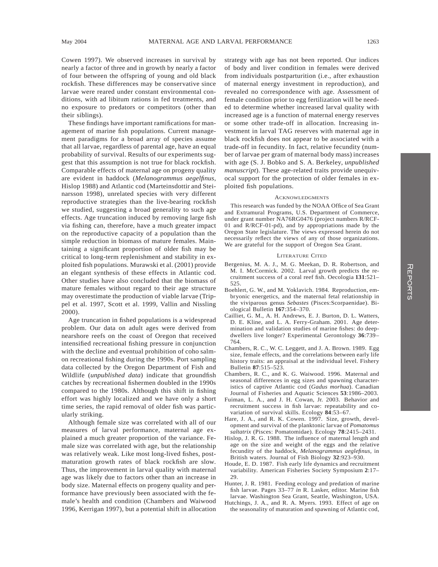Cowen 1997). We observed increases in survival by nearly a factor of three and in growth by nearly a factor of four between the offspring of young and old black rockfish. These differences may be conservative since larvae were reared under constant environmental conditions, with ad libitum rations in fed treatments, and no exposure to predators or competitors (other than their siblings).

These findings have important ramifications for management of marine fish populations. Current management paradigms for a broad array of species assume that all larvae, regardless of parental age, have an equal probability of survival. Results of our experiments suggest that this assumption is not true for black rockfish. Comparable effects of maternal age on progeny quality are evident in haddock (*Melanogrammus aegelfinus*, Hislop 1988) and Atlantic cod (Marteinsdottir and Steinarsson 1998), unrelated species with very different reproductive strategies than the live-bearing rockfish we studied, suggesting a broad generality to such age effects. Age truncation induced by removing large fish via fishing can, therefore, have a much greater impact on the reproductive capacity of a population than the simple reduction in biomass of mature females. Maintaining a significant proportion of older fish may be critical to long-term replenishment and stability in exploited fish populations. Murawski et al. (2001) provide an elegant synthesis of these effects in Atlantic cod. Other studies have also concluded that the biomass of mature females without regard to their age structure may overestimate the production of viable larvae (Trippel et al. 1997, Scott et al. 1999, Vallin and Nissling 2000).

Age truncation in fished populations is a widespread problem. Our data on adult ages were derived from nearshore reefs on the coast of Oregon that received intensified recreational fishing pressure in conjunction with the decline and eventual prohibition of coho salmon recreational fishing during the 1990s. Port sampling data collected by the Oregon Department of Fish and Wildlife (*unpublished data*) indicate that groundfish catches by recreational fishermen doubled in the 1990s compared to the 1980s. Although this shift in fishing effort was highly localized and we have only a short time series, the rapid removal of older fish was particularly striking.

Although female size was correlated with all of our measures of larval performance, maternal age explained a much greater proportion of the variance. Female size was correlated with age, but the relationship was relatively weak. Like most long-lived fishes, postmaturation growth rates of black rockfish are slow. Thus, the improvement in larval quality with maternal age was likely due to factors other than an increase in body size. Maternal effects on progeny quality and performance have previously been associated with the female's health and condition (Chambers and Waiwood 1996, Kerrigan 1997), but a potential shift in allocation

strategy with age has not been reported. Our indices of body and liver condition in females were derived from individuals postparturition (i.e., after exhaustion of maternal energy investment in reproduction), and revealed no correspondence with age. Assessment of female condition prior to egg fertilization will be needed to determine whether increased larval quality with increased age is a function of maternal energy reserves or some other trade-off in allocation. Increasing investment in larval TAG reserves with maternal age in black rockfish does not appear to be associated with a trade-off in fecundity. In fact, relative fecundity (number of larvae per gram of maternal body mass) increases with age (S. J. Bobko and S. A. Berkeley, *unpublished manuscript*). These age-related traits provide unequivocal support for the protection of older females in exploited fish populations.

#### **ACKNOWLEDGMENTS**

This research was funded by the NOAA Office of Sea Grant and Extramural Programs, U.S. Department of Commerce, under grant number NA76RG0476 (project numbers R/RCF-01 and R/RCF-01-pd), and by appropriations made by the Oregon State legislature. The views expressed herein do not necessarily reflect the views of any of those organizations. We are grateful for the support of Oregon Sea Grant.

#### LITERATURE CITED

- Bergenius, M. A. J., M. G. Meekan, D. R. Robertson, and M. I. McCormick. 2002. Larval growth predicts the recruitment success of a coral reef fish. Oecologia **131**:521– 525.
- Boehlert, G. W., and M. Yoklavich. 1984. Reproduction, embryonic energetics, and the maternal fetal relationship in the viviparous genus *Sebastes* (Pisces:Scorpaenidae). Biological Bulletin **167**:354–370.
- Cailliet, G. M., A. H. Andrews, E. J. Burton, D. L. Watters, D. E. Kline, and L. A. Ferry-Graham. 2001. Age determination and validation studies of marine fishes: do deepdwellers live longer? Experimental Gerontology **36**:739– 764.
- Chambers, R. C., W. C. Leggett, and J. A. Brown. 1989. Egg size, female effects, and the correlations between early life history traits: an appraisal at the individual level. Fishery Bulletin **87**:515–523.
- Chambers, R. C., and K. G. Waiwood. 1996. Maternal and seasonal differences in egg sizes and spawning characteristics of captive Atlantic cod (*Gadus morhua*). Canadian Journal of Fisheries and Aquatic Sciences **53**:1986–2003.
- Fuiman, L. A., and J. H. Cowan, Jr. 2003. Behavior and recruitment success in fish larvae: repeatability and covariation of survival skills. Ecology **84**:53–67.
- Hare, J. A., and R. K. Cowen. 1997. Size, growth, development and survival of the planktonic larvae of *Pomatomus saltatrix* (Pisces: Pomatomidae). Ecology **78**:2415–2431.
- Hislop, J. R. G. 1988. The influence of maternal length and age on the size and weight of the eggs and the relative fecundity of the haddock, *Melanogrammus aeglefinus,* in British waters. Journal of Fish Biology **32**:923–930.
- Houde, E. D. 1987. Fish early life dynamics and recruitment variability. American Fisheries Society Symposium **2**:17– 29.
- Hunter, J. R. 1981. Feeding ecology and predation of marine fish larvae. Pages 33–77 *in* R. Lasker, editor. Marine fish larvae. Washington Sea Grant, Seattle, Washington, USA.
- Hutchings, J. A., and R. A. Myers. 1993. Effect of age on the seasonality of maturation and spawning of Atlantic cod,